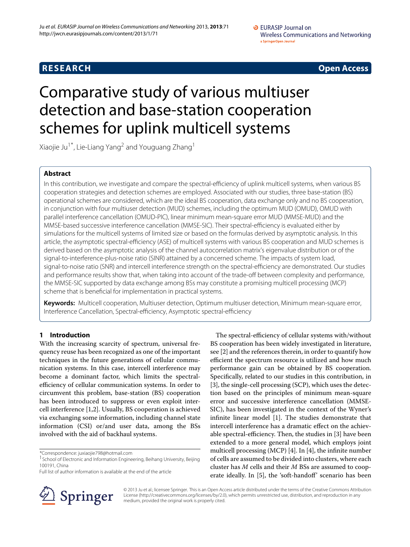## **RESEARCH Open Access**

# Comparative study of various multiuser detection and base-station cooperation schemes for uplink multicell systems

Xiaojie Ju<sup>1\*</sup>, Lie-Liang Yang<sup>2</sup> and Youguang Zhang<sup>1</sup>

## **Abstract**

In this contribution, we investigate and compare the spectral-efficiency of uplink multicell systems, when various BS cooperation strategies and detection schemes are employed. Associated with our studies, three base-station (BS) operational schemes are considered, which are the ideal BS cooperation, data exchange only and no BS cooperation, in conjunction with four multiuser detection (MUD) schemes, including the optimum MUD (OMUD), OMUD with parallel interference cancellation (OMUD-PIC), linear minimum mean-square error MUD (MMSE-MUD) and the MMSE-based successive interference cancellation (MMSE-SIC). Their spectral-efficiency is evaluated either by simulations for the multicell systems of limited size or based on the formulas derived by asymptotic analysis. In this article, the asymptotic spectral-efficiency (ASE) of multicell systems with various BS cooperation and MUD schemes is derived based on the asymptotic analysis of the channel autocorrelation matrix's eigenvalue distribution or of the signal-to-interference-plus-noise ratio (SINR) attained by a concerned scheme. The impacts of system load, signal-to-noise ratio (SNR) and intercell interference strength on the spectral-efficiency are demonstrated. Our studies and performance results show that, when taking into account of the trade-off between complexity and performance, the MMSE-SIC supported by data exchange among BSs may constitute a promising multicell processing (MCP) scheme that is beneficial for implementation in practical systems.

**Keywords:** Multicell cooperation, Multiuser detection, Optimum multiuser detection, Minimum mean-square error, Interference Cancellation, Spectral-efficiency, Asymptotic spectral-efficiency

## **1 Introduction**

With the increasing scarcity of spectrum, universal frequency reuse has been recognized as one of the important techniques in the future generations of cellular communication systems. In this case, intercell interference may become a dominant factor, which limits the spectralefficiency of cellular communication systems. In order to circumvent this problem, base-station (BS) cooperation has been introduced to suppress or even exploit intercell interference [\[1,](#page-14-0)[2\]](#page-14-1). Usually, BS cooperation is achieved via exchanging some information, including channel state information (CSI) or/and user data, among the BSs involved with the aid of backhaul systems.

\*Correspondence: juxiaojie798@hotmail.com

Full list of author information is available at the end of the article

The spectral-efficiency of cellular systems with/without BS cooperation has been widely investigated in literature, see [\[2\]](#page-14-1) and the references therein, in order to quantify how efficient the spectrum resource is utilized and how much performance gain can be obtained by BS cooperation. Specifically, related to our studies in this contribution, in [\[3\]](#page-14-2), the single-cell processing (SCP), which uses the detection based on the principles of minimum mean-square error and successive interference cancellation (MMSE-SIC), has been investigated in the context of the Wyner's infinite linear model [\[1\]](#page-14-0). The studies demonstrate that intercell interference has a dramatic effect on the achievable spectral-efficiency. Then, the studies in [\[3\]](#page-14-2) have been extended to a more general model, which employs joint multicell processing (MCP) [\[4\]](#page-14-3). In [\[4\]](#page-14-3), the infinite number of cells are assumed to be divided into clusters, where each cluster has *M* cells and their *M* BSs are assumed to cooperate ideally. In [\[5\]](#page-14-4), the 'soft-handoff' scenario has been



© 2013 Ju et al.; licensee Springer. This is an Open Access article distributed under the terms of the Creative Commons Attribution License (http://creativecommons.org/licenses/by/2.0), which permits unrestricted use, distribution, and reproduction in any medium, provided the original work is properly cited.

<sup>&</sup>lt;sup>1</sup> School of Electronic and Information Engineering, Beihang University, Beijing 100191, China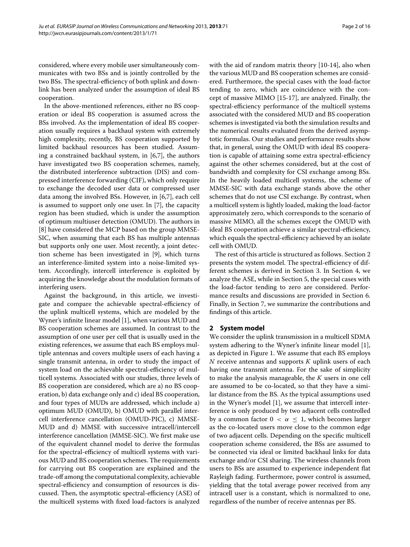considered, where every mobile user simultaneously communicates with two BSs and is jointly controlled by the two BSs. The spectral-efficiency of both uplink and downlink has been analyzed under the assumption of ideal BS cooperation.

In the above-mentioned references, either no BS cooperation or ideal BS cooperation is assumed across the BSs involved. As the implementation of ideal BS cooperation usually requires a backhaul system with extremely high complexity, recently, BS cooperation supported by limited backhaul resources has been studied. Assuming a constrained backhaul system, in [\[6](#page-14-5)[,7\]](#page-14-6), the authors have investigated two BS cooperation schemes, namely, the distributed interference subtraction (DIS) and compressed interference forwarding (CIF), which only require to exchange the decoded user data or compressed user data among the involved BSs. However, in [\[6,](#page-14-5)[7\]](#page-14-6), each cell is assumed to support only one user. In [\[7\]](#page-14-6), the capacity region has been studied, which is under the assumption of optimum multiuser detection (OMUD). The authors in [\[8\]](#page-14-7) have considered the MCP based on the group MMSE-SIC, when assuming that each BS has multiple antennas but supports only one user. Most recently, a joint detection scheme has been investigated in [\[9\]](#page-14-8), which turns an interference-limited system into a noise-limited system. Accordingly, intercell interference is exploited by acquiring the knowledge about the modulation formats of interfering users.

Against the background, in this article, we investigate and compare the achievable spectral-efficiency of the uplink multicell systems, which are modeled by the Wyner's infinite linear model [\[1\]](#page-14-0), when various MUD and BS cooperation schemes are assumed. In contrast to the assumption of one user per cell that is usually used in the existing references, we assume that each BS employs multiple antennas and covers multiple users of each having a single transmit antenna, in order to study the impact of system load on the achievable spectral-efficiency of multicell systems. Associated with our studies, three levels of BS cooperation are considered, which are a) no BS cooperation, b) data exchange only and c) ideal BS cooperation, and four types of MUDs are addressed, which include a) optimum MUD (OMUD), b) OMUD with parallel intercell interference cancellation (OMUD-PIC), c) MMSE-MUD and d) MMSE with successive intracell/intercell interference cancellation (MMSE-SIC). We first make use of the equivalent channel model to derive the formulas for the spectral-efficiency of multicell systems with various MUD and BS cooperation schemes. The requirements for carrying out BS cooperation are explained and the trade-off among the computational complexity, achievable spectral-efficiency and consumption of resources is discussed. Then, the asymptotic spectral-efficiency (ASE) of the multicell systems with fixed load-factors is analyzed

with the aid of random matrix theory [\[10](#page-14-9)[-14\]](#page-14-10), also when the various MUD and BS cooperation schemes are considered. Furthermore, the special cases with the load-factor tending to zero, which are coincidence with the concept of massive MIMO [\[15](#page-14-11)[-17\]](#page-15-0), are analyzed. Finally, the spectral-efficiency performance of the multicell systems associated with the considered MUD and BS cooperation schemes is investigated via both the simulation results and the numerical results evaluated from the derived asymptotic formulas. Our studies and performance results show that, in general, using the OMUD with ideal BS cooperation is capable of attaining some extra spectral-efficiency against the other schemes considered, but at the cost of bandwidth and complexity for CSI exchange among BSs. In the heavily loaded multicell systems, the scheme of MMSE-SIC with data exchange stands above the other schemes that do not use CSI exchange. By contrast, when a multicell system is lightly loaded, making the load-factor approximately zero, which corresponds to the scenario of massive MIMO, all the schemes except the OMUD with ideal BS cooperation achieve a similar spectral-efficiency, which equals the spectral-efficiency achieved by an isolate cell with OMUD.

The rest of this article is structured as follows. Section [2](#page-1-0) presents the system model. The spectral-efficiency of different schemes is derived in Section [3.](#page-2-0) In Section [4,](#page-6-0) we analyze the ASE, while in Section [5,](#page-9-0) the special cases with the load-factor tending to zero are considered. Performance results and discussions are provided in Section [6.](#page-10-0) Finally, in Section [7,](#page-14-12) we summarize the contributions and findings of this article.

## <span id="page-1-0"></span>**2 System model**

We consider the uplink transmission in a multicell SDMA system adhering to the Wyner's infinite linear model [\[1\]](#page-14-0), as depicted in Figure [1.](#page-2-1) We assume that each BS employs *N* receive antennas and supports *K* uplink users of each having one transmit antenna. For the sake of simplicity to make the analysis manageable, the *K* users in one cell are assumed to be co-located, so that they have a similar distance from the BS. As the typical assumptions used in the Wyner's model [\[1\]](#page-14-0), we assume that intercell interference is only produced by two adjacent cells controlled by a common factor  $0 < \alpha \leq 1$ , which becomes larger as the co-located users move close to the common edge of two adjacent cells. Depending on the specific multicell cooperation scheme considered, the BSs are assumed to be connected via ideal or limited backhaul links for data exchange and/or CSI sharing. The wireless channels from users to BSs are assumed to experience independent flat Rayleigh fading. Furthermore, power control is assumed, yielding that the total average power received from any intracell user is a constant, which is normalized to one, regardless of the number of receive antennas per BS.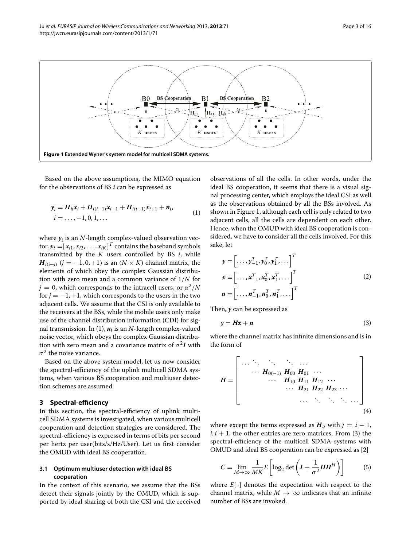

<span id="page-2-1"></span>Based on the above assumptions, the MIMO equation for the observations of BS *i* can be expressed as

$$
y_i = H_{ii}x_i + H_{i(i-1)}x_{i-1} + H_{i(i+1)}x_{i+1} + n_i,
$$
  
\n
$$
i = \ldots, -1, 0, 1, \ldots
$$
\n(1)

where  $y_i$  is an *N*-length complex-valued observation vector,  $\boldsymbol{x}_i = [x_{i1}, x_{i2}, \dots, x_{iK}]^T$  contains the baseband symbols transmitted by the  $K$  users controlled by BS  $i$ , while *H*<sub>*i*</sub>(*i*+*j*)</sub> (*j* = −1, 0, +1) is an (*N* × *K*) channel matrix, the elements of which obey the complex Gaussian distribution with zero mean and a common variance of 1*/N* for  $j = 0$ , which corresponds to the intracell users, or  $\alpha^2/N$ for  $j = -1, +1$ , which corresponds to the users in the two adjacent cells. We assume that the CSI is only available to the receivers at the BSs, while the mobile users only make use of the channel distribution information (CDI) for sig-nal transmission. In [\(1\)](#page-2-2),  $n_i$  is an  $N$ -length complex-valued noise vector, which obeys the complex Gaussian distribution with zero mean and a covariance matrix of  $\sigma^2 I$  with  $\sigma^2$  the noise variance.

Based on the above system model, let us now consider the spectral-efficiency of the uplink multicell SDMA systems, when various BS cooperation and multiuser detection schemes are assumed.

## <span id="page-2-0"></span>**3 Spectral-efficiency**

In this section, the spectral-efficiency of uplink multicell SDMA systems is investigated, when various multicell cooperation and detection strategies are considered. The spectral-efficiency is expressed in terms of bits per second per hertz per user(bits/s/Hz/User). Let us first consider the OMUD with ideal BS cooperation.

## <span id="page-2-5"></span>**3.1 Optimum multiuser detection with ideal BS cooperation**

In the context of this scenario, we assume that the BSs detect their signals jointly by the OMUD, which is supported by ideal sharing of both the CSI and the received <span id="page-2-2"></span>observations of all the cells. In other words, under the ideal BS cooperation, it seems that there is a visual signal processing center, which employs the ideal CSI as well as the observations obtained by all the BSs involved. As shown in Figure [1,](#page-2-1) although each cell is only related to two adjacent cells, all the cells are dependent on each other. Hence, when the OMUD with ideal BS cooperation is considered, we have to consider all the cells involved. For this sake, let

$$
\mathbf{y} = \begin{bmatrix} \dots, \mathbf{y}_{-1}^T, \mathbf{y}_0^T, \mathbf{y}_1^T, \dots \end{bmatrix}^T
$$
\n
$$
\mathbf{x} = \begin{bmatrix} \dots, \mathbf{x}_{-1}^T, \mathbf{x}_0^T, \mathbf{x}_1^T, \dots \end{bmatrix}^T
$$
\n
$$
\mathbf{n} = \begin{bmatrix} \dots, \mathbf{n}_{-1}^T, \mathbf{n}_0^T, \mathbf{n}_1^T, \dots \end{bmatrix}^T
$$
\n(2)

Then, *y* can be expressed as

<span id="page-2-3"></span>
$$
y = Hx + n \tag{3}
$$

where the channel matrix has infinite dimensions and is in the form of

*H* = ⎡ ⎢ ⎢ ⎢ ⎢ ⎢ ⎢ ⎣ ··· ... ... ... ··· ··· *H*0*(*−1*) H*<sup>00</sup> *H*<sup>01</sup> ··· ··· *H*<sup>10</sup> *H*<sup>11</sup> *H*<sup>12</sup> ··· ··· *H*<sup>21</sup> *H*<sup>22</sup> *H*<sup>23</sup> ··· ··· ... ... ... ··· ⎤ ⎥ ⎥ ⎥ ⎥ ⎥ ⎥ ⎦ (4)

where except the terms expressed as  $H_{ij}$  with  $j = i - 1$ ,  $i, i + 1$ , the other entries are zero matrices. From [\(3\)](#page-2-3) the spectral-efficiency of the multicell SDMA systems with OMUD and ideal BS cooperation can be expressed as [\[2\]](#page-14-1)

<span id="page-2-4"></span>
$$
C = \lim_{M \to \infty} \frac{1}{MK} E \left[ \log_2 \det \left( I + \frac{1}{\sigma^2} H H^H \right) \right]
$$
 (5)

where  $E[\cdot]$  denotes the expectation with respect to the channel matrix, while  $M \to \infty$  indicates that an infinite number of BSs are invoked.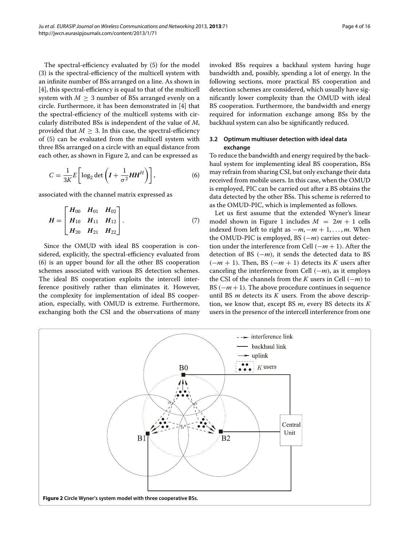The spectral-efficiency evaluated by [\(5\)](#page-2-4) for the model [\(3\)](#page-2-3) is the spectral-efficiency of the multicell system with an infinite number of BSs arranged on a line. As shown in [\[4\]](#page-14-3), this spectral-efficiency is equal to that of the multicell system with  $M > 3$  number of BSs arranged evenly on a circle. Furthermore, it has been demonstrated in [\[4\]](#page-14-3) that the spectral-efficiency of the multicell systems with circularly distributed BSs is independent of the value of *M*, provided that  $M > 3$ . In this case, the spectral-efficiency of [\(5\)](#page-2-4) can be evaluated from the multicell system with three BSs arranged on a circle with an equal distance from each other, as shown in Figure [2,](#page-3-0) and can be expressed as

$$
C = \frac{1}{3K} E \left[ \log_2 \det \left( I + \frac{1}{\sigma^2} H H^H \right) \right],
$$
 (6)

associated with the channel matrix expressed as

$$
H = \begin{bmatrix} H_{00} & H_{01} & H_{02} \\ H_{10} & H_{11} & H_{12} \\ H_{20} & H_{21} & H_{22} \end{bmatrix} . \tag{7}
$$

Since the OMUD with ideal BS cooperation is considered, explicitly, the spectral-efficiency evaluated from [\(6\)](#page-3-1) is an upper bound for all the other BS cooperation schemes associated with various BS detection schemes. The ideal BS cooperation exploits the intercell interference positively rather than eliminates it. However, the complexity for implementation of ideal BS cooperation, especially, with OMUD is extreme. Furthermore, exchanging both the CSI and the observations of many invoked BSs requires a backhaul system having huge bandwidth and, possibly, spending a lot of energy. In the following sections, more practical BS cooperation and detection schemes are considered, which usually have significantly lower complexity than the OMUD with ideal BS cooperation. Furthermore, the bandwidth and energy required for information exchange among BSs by the backhaul system can also be significantly reduced.

## <span id="page-3-3"></span>**3.2 Optimum multiuser detection with ideal data exchange**

<span id="page-3-1"></span>To reduce the bandwidth and energy required by the backhaul system for implementing ideal BS cooperation, BSs may refrain from sharing CSI, but only exchange their data received from mobile users. In this case, when the OMUD is employed, PIC can be carried out after a BS obtains the data detected by the other BSs. This scheme is referred to as the OMUD-PIC, which is implemented as follows.

<span id="page-3-2"></span>Let us first assume that the extended Wyner's linear model shown in Figure [1](#page-2-1) includes  $M = 2m + 1$  cells indexed from left to right as  $-m$ ,  $-m+1$ , ..., *m*. When the OMUD-PIC is employed, BS *(*−*m)* carries out detection under the interference from Cell *(*−*m* + 1*)*. After the detection of BS *(*−*m)*, it sends the detected data to BS *(*−*m* + 1*)*. Then, BS *(*−*m* + 1*)* detects its *K* users after canceling the interference from Cell *(*−*m)*, as it employs the CSI of the channels from the *K* users in Cell *(*−*m)* to BS *(*−*m* + 1*)*. The above procedure continues in sequence until BS *m* detects its *K* users. From the above description, we know that, except BS *m*, every BS detects its *K* users in the presence of the intercell interference from one

<span id="page-3-0"></span>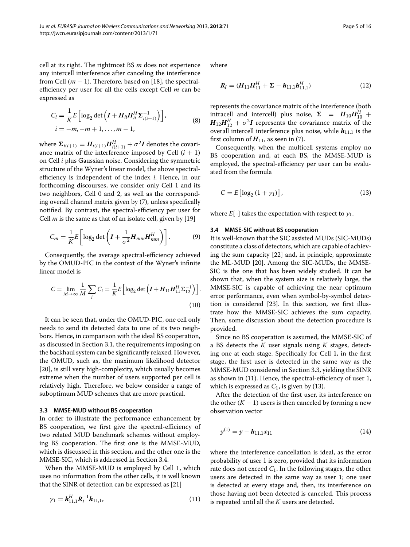cell at its right. The rightmost BS *m* does not experience any intercell interference after canceling the interference from Cell  $(m - 1)$ . Therefore, based on [\[18\]](#page-15-1), the spectralefficiency per user for all the cells except Cell *m* can be expressed as

<span id="page-4-4"></span>
$$
C_{i} = \frac{1}{K} E \left[ \log_{2} \det \left( I + H_{ii} H_{ii}^{H} \Sigma_{i(i+1)}^{-1} \right) \right],
$$
  
\n*i* = -*m*, -*m* + 1, ..., *m* - 1, (8)

where  $\Sigma_{i(i+1)} = H_{i(i+1)}H_{i(i+1)}^H + \sigma^2 I$  denotes the covariance matrix of the interference imposed by Cell  $(i + 1)$ on Cell *i* plus Gaussian noise. Considering the symmetric structure of the Wyner's linear model, the above spectralefficiency is independent of the index *i*. Hence, in our forthcoming discourses, we consider only Cell 1 and its two neighbors, Cell 0 and 2, as well as the corresponding overall channel matrix given by [\(7\)](#page-3-2), unless specifically notified. By contrast, the spectral-efficiency per user for Cell *m* is the same as that of an isolate cell, given by [\[19\]](#page-15-2)

$$
C_m = \frac{1}{K} E \left[ \log_2 \det \left( I + \frac{1}{\sigma^2} H_{mm} H_{mm}^H \right) \right].
$$
 (9)

Consequently, the average spectral-efficiency achieved by the OMUD-PIC in the context of the Wyner's infinite linear model is

<span id="page-4-5"></span>
$$
C = \lim_{M \to \infty} \frac{1}{M} \sum_{i} C_{i} = \frac{1}{K} E \left[ \log_{2} \det \left( I + H_{11} H_{11}^{H} \Sigma_{12}^{-1} \right) \right].
$$
\n(10)

It can be seen that, under the OMUD-PIC, one cell only needs to send its detected data to one of its two neighbors. Hence, in comparison with the ideal BS cooperation, as discussed in Section [3.1,](#page-2-5) the requirements imposing on the backhaul system can be significantly relaxed. However, the OMUD, such as, the maximum likelihood detector [\[20\]](#page-15-3), is still very high-complexity, which usually becomes extreme when the number of users supported per cell is relatively high. Therefore, we below consider a range of suboptimum MUD schemes that are more practical.

## <span id="page-4-1"></span>**3.3 MMSE-MUD without BS cooperation**

In order to illustrate the performance enhancement by BS cooperation, we first give the spectral-efficiency of two related MUD benchmark schemes without employing BS cooperation. The first one is the MMSE-MUD, which is discussed in this section, and the other one is the MMSE-SIC, which is addressed in Section [3.4.](#page-4-0)

When the MMSE-MUD is employed by Cell 1, which uses no information from the other cells, it is well known that the SINR of detection can be expressed as [\[21\]](#page-15-4)

$$
\gamma_1 = \mathbf{h}_{11,1}^H \mathbf{R}_I^{-1} \mathbf{h}_{11,1},\tag{11}
$$

where

$$
\mathbf{R}_{I} = (\mathbf{H}_{11}\mathbf{H}_{11}^{H} + \mathbf{\Sigma} - \mathbf{h}_{11,1}\mathbf{h}_{11,1}^{H})
$$
(12)

represents the covariance matrix of the interference (both intracell and intercell) plus noise,  $\Sigma = H_{10}H_{10}^H +$  $H_{12}H_{12}^H + \sigma^2 I$  represents the covariance matrix of the overall intercell interference plus noise, while  $h_{11,1}$  is the first column of  $H_{11}$ , as seen in [\(7\)](#page-3-2).

Consequently, when the multicell systems employ no BS cooperation and, at each BS, the MMSE-MUD is employed, the spectral-efficiency per user can be evaluated from the formula

<span id="page-4-3"></span>
$$
C = E\left[\log_2\left(1 + \gamma_1\right)\right],\tag{13}
$$

where  $E[\cdot]$  takes the expectation with respect to  $\gamma_1$ .

#### <span id="page-4-0"></span>**3.4 MMSE-SIC without BS cooperation**

It is well-known that the SIC assisted MUDs (SIC-MUDs) constitute a class of detectors, which are capable of achieving the sum capacity [\[22\]](#page-15-5) and, in principle, approximate the ML-MUD [\[20\]](#page-15-3). Among the SIC-MUDs, the MMSE-SIC is the one that has been widely studied. It can be shown that, when the system size is relatively large, the MMSE-SIC is capable of achieving the near optimum error performance, even when symbol-by-symbol detection is considered [\[23\]](#page-15-6). In this section, we first illustrate how the MMSE-SIC achieves the sum capacity. Then, some discussion about the detection procedure is provided.

Since no BS cooperation is assumed, the MMSE-SIC of a BS detects the *K* user signals using *K* stages, detecting one at each stage. Specifically for Cell 1, in the first stage, the first user is detected in the same way as the MMSE-MUD considered in Section [3.3,](#page-4-1) yielding the SINR as shown in [\(11\)](#page-4-2). Hence, the spectral-efficiency of user 1, which is expressed as  $C_1$ , is given by [\(13\)](#page-4-3).

After the detection of the first user, its interference on the other  $(K - 1)$  users is then canceled by forming a new observation vector

$$
y^{(1)} = y - h_{11,1}x_{11}
$$
 (14)

<span id="page-4-2"></span>where the interference cancellation is ideal, as the error probability of user 1 is zero, provided that its information rate does not exceed *C*1. In the following stages, the other users are detected in the same way as user 1; one user is detected at every stage and, then, its interference on those having not been detected is canceled. This process is repeated until all the *K* users are detected.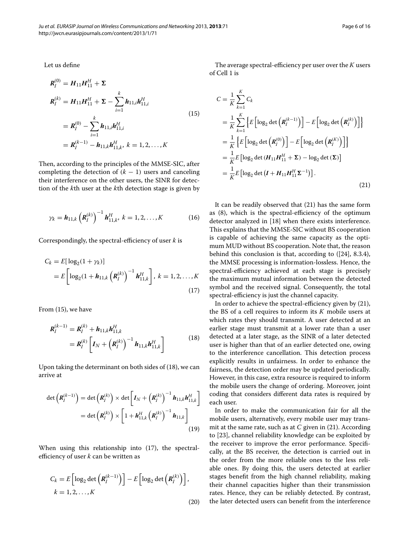Let us define

<span id="page-5-0"></span>
$$
R_I^{(0)} = H_{11}H_{11}^H + \Sigma
$$
  
\n
$$
R_I^{(k)} = H_{11}H_{11}^H + \Sigma - \sum_{i=1}^k h_{11,i}h_{11,i}^H
$$
  
\n
$$
= R_I^{(0)} - \sum_{i=1}^k h_{11,i}h_{11,i}^H
$$
  
\n
$$
= R_I^{(k-1)} - h_{11,k}h_{11,k}^H, k = 1, 2, ..., K
$$
\n(15)

Then, according to the principles of the MMSE-SIC, after completing the detection of  $(k - 1)$  users and canceling their interference on the other users, the SINR for detection of the *k*th user at the *k*th detection stage is given by

$$
\gamma_k = \mathbf{h}_{11,k} \left( \mathbf{R}_I^{(k)} \right)^{-1} \mathbf{h}_{11,k}^H, k = 1, 2, ..., K \tag{16}
$$

Correspondingly, the spectral-efficiency of user *k* is

$$
C_k = E[\log_2(1 + \gamma_k)]
$$
  
=  $E\left[\log_2(1 + \mathbf{h}_{11,k}(\mathbf{R}_I^{(k)})^{-1}\mathbf{h}_{11,k}^H\right], k = 1, 2, ..., K$  (17)

From [\(15\)](#page-5-0), we have

<span id="page-5-1"></span>
$$
R_I^{(k-1)} = R_I^{(k)} + h_{11,k} h_{11,k}^H
$$
  
=  $R_I^{(k)} \left[ I_N + \left( R_I^{(k)} \right)^{-1} h_{11,k} h_{11,k}^H \right]$  (18)

Upon taking the determinant on both sides of [\(18\)](#page-5-1), we can arrive at

$$
\det\left(\mathbf{R}_{I}^{(k-1)}\right) = \det\left(\mathbf{R}_{I}^{(k)}\right) \times \det\left[\mathbf{I}_{N} + \left(\mathbf{R}_{I}^{(k)}\right)^{-1} \mathbf{h}_{11,k} \mathbf{h}_{11,k}^{H}\right] \\
= \det\left(\mathbf{R}_{I}^{(k)}\right) \times \left[1 + \mathbf{h}_{11,k}^{H} \left(\mathbf{R}_{I}^{(k)}\right)^{-1} \mathbf{h}_{11,k}\right] \tag{19}
$$

When using this relationship into [\(17\)](#page-5-2), the spectralefficiency of user *k* can be written as

$$
C_k = E\left[\log_2 \det\left(\mathbf{R}_I^{(k-1)}\right)\right] - E\left[\log_2 \det\left(\mathbf{R}_I^{(k)}\right)\right],
$$
  

$$
k = 1, 2, ..., K
$$
 (20)

The average spectral-efficiency per user over the *K* users of Cell 1 is

<span id="page-5-3"></span>
$$
C = \frac{1}{K} \sum_{k=1}^{K} C_k
$$
  
\n
$$
= \frac{1}{K} \sum_{k=1}^{K} \left\{ E \left[ \log_2 \det \left( \mathbf{R}_I^{(k-1)} \right) \right] - E \left[ \log_2 \det \left( \mathbf{R}_I^{(k)} \right) \right] \right\}
$$
  
\n
$$
= \frac{1}{K} \left\{ E \left[ \log_2 \det \left( \mathbf{R}_I^{(0)} \right) \right] - E \left[ \log_2 \det \left( \mathbf{R}_I^{(K)} \right) \right] \right\}
$$
  
\n
$$
= \frac{1}{K} E \left[ \log_2 \det \left( H_{11} H_{11}^H + \Sigma \right) - \log_2 \det \left( \Sigma \right) \right]
$$
  
\n
$$
= \frac{1}{K} E \left[ \log_2 \det \left( I + H_{11} H_{11}^H \Sigma^{-1} \right) \right].
$$
\n(21)

<span id="page-5-2"></span>It can be readily observed that [\(21\)](#page-5-3) has the same form as [\(8\)](#page-4-4), which is the spectral-efficiency of the optimum detector analyzed in [\[18\]](#page-15-1) when there exists interference. This explains that the MMSE-SIC without BS cooperation is capable of achieving the same capacity as the optimum MUD without BS cooperation. Note that, the reason behind this conclusion is that, according to ([\[24\]](#page-15-7), 8.3.4), the MMSE processing is information-lossless. Hence, the spectral-efficiency achieved at each stage is precisely the maximum mutual information between the detected symbol and the received signal. Consequently, the total spectral-efficiency is just the channel capacity.

In order to achieve the spectral-efficiency given by [\(21\)](#page-5-3), the BS of a cell requires to inform its *K* mobile users at which rates they should transmit. A user detected at an earlier stage must transmit at a lower rate than a user detected at a later stage, as the SINR of a later detected user is higher than that of an earlier detected one, owing to the interference cancellation. This detection process explicitly results in unfairness. In order to enhance the fairness, the detection order may be updated periodically. However, in this case, extra resource is required to inform the mobile users the change of ordering. Moreover, joint coding that considers different data rates is required by each user.

In order to make the communication fair for all the mobile users, alternatively, every mobile user may transmit at the same rate, such as at *C* given in [\(21\)](#page-5-3). According to [\[23\]](#page-15-6), channel reliability knowledge can be exploited by the receiver to improve the error performance. Specifically, at the BS receiver, the detection is carried out in the order from the more reliable ones to the less reliable ones. By doing this, the users detected at earlier stages benefit from the high channel reliability, making their channel capacities higher than their transmission rates. Hence, they can be reliably detected. By contrast, the later detected users can benefit from the interference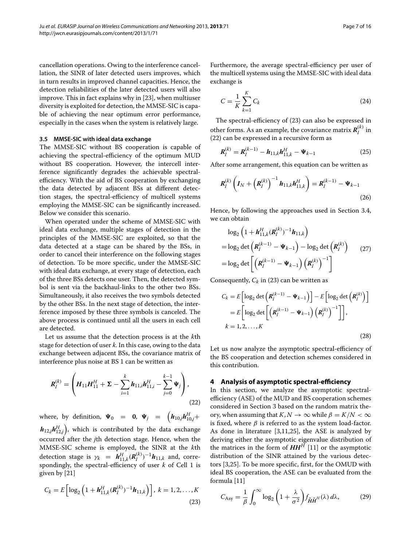cancellation operations. Owing to the interference cancellation, the SINR of later detected users improves, which in turn results in improved channel capacities. Hence, the detection reliabilities of the later detected users will also improve. This in fact explains why in [\[23\]](#page-15-6), when multiuser diversity is exploited for detection, the MMSE-SIC is capable of achieving the near optimum error performance, especially in the cases when the system is relatively large.

## <span id="page-6-4"></span>**3.5 MMSE-SIC with ideal data exchange**

The MMSE-SIC without BS cooperation is capable of achieving the spectral-efficiency of the optimum MUD without BS cooperation. However, the intercell interference significantly degrades the achievable spectralefficiency. With the aid of BS cooperation by exchanging the data detected by adjacent BSs at different detection stages, the spectral-efficiency of multicell systems employing the MMSE-SIC can be significantly increased. Below we consider this scenario.

When operated under the scheme of MMSE-SIC with ideal data exchange, multiple stages of detection in the principles of the MMSE-SIC are exploited, so that the data detected at a stage can be shared by the BSs, in order to cancel their interference on the following stages of detection. To be more specific, under the MMSE-SIC with ideal data exchange, at every stage of detection, each of the three BSs detects one user. Then, the detected symbol is sent via the backhaul-links to the other two BSs. Simultaneously, it also receives the two symbols detected by the other BSs. In the next stage of detection, the interference imposed by these three symbols is canceled. The above process is continued until all the users in each cell are detected.

Let us assume that the detection process is at the *k*th stage for detection of user *k*. In this case, owing to the data exchange between adjacent BSs, the covariance matrix of interference plus noise at BS 1 can be written as

$$
R_{I}^{(k)} = \left(H_{11}H_{11}^{H} + \Sigma - \sum_{i=1}^{k} h_{11,i}h_{11,i}^{H} - \sum_{j=0}^{k-1} \Psi_{j}\right),
$$
\n(22)

where, by definition,  $\Psi_0$  = **0**,  $\Psi_j$  =  $\left( h_{10,j} h_{10,j}^H + \right.$  $\bm{h}_{12,j}\bm{h}_{12,j}^H\big),$  which is contributed by the data exchange occurred after the *j*th detection stage. Hence, when the MMSE-SIC scheme is employed, the SINR at the *k*th detection stage is  $\gamma_k = h_{11,k}^H (R_I^{(k)})^{-1} h_{11,k}$  and, correspondingly, the spectral-efficiency of user *k* of Cell 1 is given by [\[21\]](#page-15-4)

<span id="page-6-1"></span>
$$
C_k = E\left[\log_2\left(1 + \mathbf{h}_{11,k}^H(\mathbf{R}_I^{(k)})^{-1}\mathbf{h}_{11,k}\right)\right], k = 1, 2, ..., K
$$
\n(23)

Furthermore, the average spectral-efficiency per user of the multicell systems using the MMSE-SIC with ideal data exchange is

$$
C = \frac{1}{K} \sum_{k=1}^{K} C_k
$$
\n
$$
(24)
$$

The spectral-efficiency of [\(23\)](#page-6-1) can also be expressed in other forms. As an example, the covariance matrix  $\boldsymbol{R}^{(k)}_I$  in [\(22\)](#page-6-2) can be expressed in a recursive form as

$$
\mathbf{R}_{I}^{(k)} = \mathbf{R}_{I}^{(k-1)} - \mathbf{h}_{11,k}\mathbf{h}_{11,k}^{H} - \mathbf{\Psi}_{k-1}
$$
 (25)

After some arrangement, this equation can be written as

$$
\mathbf{R}_{I}^{(k)}\left(\mathbf{I}_{N}+\left(\mathbf{R}_{I}^{(k)}\right)^{-1}\mathbf{h}_{11,k}\mathbf{h}_{11,k}^{H}\right)=\mathbf{R}_{I}^{(k-1)}-\mathbf{\Psi}_{k-1}
$$
\n(26)

Hence, by following the approaches used in Section [3.4,](#page-4-0) we can obtain

$$
\log_2\left(1 + \mathbf{h}_{11,k}^H(\mathbf{R}_I^{(k)})^{-1}\mathbf{h}_{11,k}\right)
$$
  
=  $\log_2 \det\left(\mathbf{R}_I^{(k-1)} - \mathbf{\Psi}_{k-1}\right) - \log_2 \det\left(\mathbf{R}_I^{(k)}\right)$  (27)  
=  $\log_2 \det\left[\left(\mathbf{R}_I^{(k-1)} - \mathbf{\Psi}_{k-1}\right)\left(\mathbf{R}_I^{(k)}\right)^{-1}\right]$ 

Consequently,  $C_k$  in [\(23\)](#page-6-1) can be written as

$$
C_k = E\left[\log_2 \det\left(R_I^{(k-1)} - \Psi_{k-1}\right)\right] - E\left[\log_2 \det\left(R_I^{(k)}\right)\right]
$$

$$
= E\left[\log_2 \det\left[\left(R_I^{(k-1)} - \Psi_{k-1}\right)\left(R_I^{(k)}\right)^{-1}\right]\right],
$$

$$
k = 1, 2, ..., K
$$
(28)

<span id="page-6-2"></span>Let us now analyze the asymptotic spectral-efficiency of the BS cooperation and detection schemes considered in this contribution.

## <span id="page-6-0"></span>**4 Analysis of asymptotic spectral-efficiency**

In this section, we analyze the asymptotic spectralefficiency (ASE) of the MUD and BS cooperation schemes considered in Section [3](#page-2-0) based on the random matrix theory, when assuming that  $K, N \to \infty$  while  $\beta = K/N < \infty$ is fixed, where  $\beta$  is referred to as the system load-factor. As done in literature [\[3,](#page-14-2)[11,](#page-14-13)[25\]](#page-15-8), the ASE is analyzed by deriving either the asymptotic eigenvalue distribution of the matrices in the form of  $HH^{\overrightarrow{H}}$  [\[11\]](#page-14-13) or the asymptotic distribution of the SINR attained by the various detectors [\[3,](#page-14-2)[25\]](#page-15-8). To be more specific, first, for the OMUD with ideal BS cooperation, the ASE can be evaluated from the formula [\[11\]](#page-14-13)

<span id="page-6-3"></span>
$$
C_{\text{Asy}} = \frac{1}{\beta} \int_0^\infty \log_2 \left( 1 + \frac{\lambda}{\sigma^2} \right) f_{\tilde{H}\tilde{H}} \mu(\lambda) d\lambda, \tag{29}
$$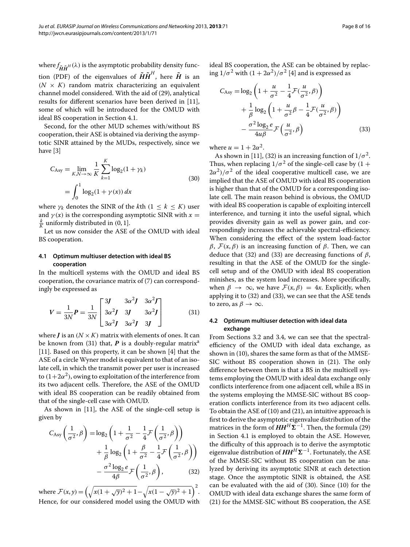where  $f_{\tilde{\bm{H}}\tilde{\bm{H}}^H}(\lambda)$  is the asymptotic probability density function (PDF) of the eigenvalues of  $\tilde{H}\tilde{H}$ <sup>*H*</sup>, here  $\tilde{H}$  is an  $(N \times K)$  random matrix characterizing an equivalent channel model considered. With the aid of [\(29\)](#page-6-3), analytical results for different scenarios have been derived in [\[11\]](#page-14-13), some of which will be introduced for the OMUD with ideal BS cooperation in Section [4.1.](#page-7-0)

Second, for the other MUD schemes with/without BS cooperation, their ASE is obtained via deriving the asymptotic SINR attained by the MUDs, respectively, since we have [\[3\]](#page-14-2)

<span id="page-7-4"></span>
$$
C_{\text{Asy}} = \lim_{K,N \to \infty} \frac{1}{K} \sum_{k=1}^{K} \log_2(1 + \gamma_k)
$$
  
= 
$$
\int_0^1 \log_2(1 + \gamma(x)) dx
$$
 (30)

where  $\gamma_k$  denotes the SINR of the *k*th  $(1 \leq k \leq K)$  user and  $\gamma(x)$  is the corresponding asymptotic SINR with  $x =$  $\frac{k}{K}$  uniformly distributed in (0, 1].

Let us now consider the ASE of the OMUD with ideal BS cooperation.

## <span id="page-7-0"></span>**4.1 Optimum multiuser detection with ideal BS cooperation**

In the multicell systems with the OMUD and ideal BS cooperation, the covariance matrix of [\(7\)](#page-3-2) can correspondingly be expressed as

<span id="page-7-1"></span>
$$
V = \frac{1}{3N}P = \frac{1}{3N} \begin{bmatrix} 3J & 3\alpha^2 J & 3\alpha^2 J \\ 3\alpha^2 J & 3J & 3\alpha^2 J \\ 3\alpha^2 J & 3\alpha^2 J & 3J \end{bmatrix}
$$
(31)

where *J* is an  $(N \times K)$  matrix with elements of ones. It can be known from [\(31\)](#page-7-1) that,  $P$  is a doubly-regular matrix<sup>a</sup> [\[11\]](#page-14-13). Based on this property, it can be shown [\[4\]](#page-14-3) that the ASE of a circle Wyner model is equivalent to that of an isolate cell, in which the transmit power per user is increased to  $(1+2\alpha^2)$ , owing to exploitation of the interference from its two adjacent cells. Therefore, the ASE of the OMUD with ideal BS cooperation can be readily obtained from that of the single-cell case with OMUD.

As shown in [\[11\]](#page-14-13), the ASE of the single-cell setup is given by

$$
C_{\text{Asy}}\left(\frac{1}{\sigma^2}, \beta\right) = \log_2\left(1 + \frac{1}{\sigma^2} - \frac{1}{4}\mathcal{F}\left(\frac{1}{\sigma^2}, \beta\right)\right) + \frac{1}{\beta}\log_2\left(1 + \frac{\beta}{\sigma^2} - \frac{1}{4}\mathcal{F}\left(\frac{1}{\sigma^2}, \beta\right)\right) - \frac{\sigma^2 \log_2 e}{4\beta} \mathcal{F}\left(\frac{1}{\sigma^2}, \beta\right), \tag{32}
$$

where  $\mathcal{F}(x, y) = \left(\sqrt{x(1 + \sqrt{y})^2 + 1} - \sqrt{x(1 - \sqrt{y})^2 + 1}\right)^2$ . Hence, for our considered model using the OMUD with ideal BS cooperation, the ASE can be obtained by replacing  $1/\sigma^2$  with  $(1 + 2\alpha^2)/\sigma^2$  [\[4\]](#page-14-3) and is expressed as

<span id="page-7-3"></span>
$$
C_{\text{Asy}} = \log_2 \left( 1 + \frac{u}{\sigma^2} - \frac{1}{4} \mathcal{F}(\frac{u}{\sigma^2}, \beta) \right) + \frac{1}{\beta} \log_2 \left( 1 + \frac{u}{\sigma^2} \beta - \frac{1}{4} \mathcal{F}(\frac{u}{\sigma^2}, \beta) \right) - \frac{\sigma^2 \log_2 e}{4u\beta} \mathcal{F}(\frac{u}{\sigma^2}, \beta)
$$
(33)

where  $u = 1 + 2\alpha^2$ .

As shown in [\[11\]](#page-14-13), [\(32\)](#page-7-2) is an increasing function of  $1/\sigma^2$ . Thus, when replacing  $1/\sigma^2$  of the single-cell case by  $(1 +$  $2\alpha^2/\sigma^2$  of the ideal cooperative multicell case, we are implied that the ASE of OMUD with ideal BS cooperation is higher than that of the OMUD for a corresponding isolate cell. The main reason behind is obvious, the OMUD with ideal BS cooperation is capable of exploiting intercell interference, and turning it into the useful signal, which provides diversity gain as well as power gain, and correspondingly increases the achievable spectral-efficiency. When considering the effect of the system load-factor *β*, F*(x*, *β)* is an increasing function of *β*. Then, we can deduce that [\(32\)](#page-7-2) and [\(33\)](#page-7-3) are decreasing functions of *β*, resulting in that the ASE of the OMUD for the singlecell setup and of the OMUD with ideal BS cooperation minishes, as the system load increases. More specifically, when  $\beta \to \infty$ , we have  $\mathcal{F}(x, \beta) = 4x$ . Explicitly, when applying it to [\(32\)](#page-7-2) and [\(33\)](#page-7-3), we can see that the ASE tends to zero, as  $\beta \to \infty$ .

## <span id="page-7-5"></span>**4.2 Optimum multiuser detection with ideal data exchange**

<span id="page-7-2"></span>From Sections [3.2](#page-3-3) and [3.4,](#page-4-0) we can see that the spectralefficiency of the OMUD with ideal data exchange, as shown in [\(10\)](#page-4-5), shares the same form as that of the MMSE-SIC without BS cooperation shown in [\(21\)](#page-5-3). The only difference between them is that a BS in the multicell systems employing the OMUD with ideal data exchange only conflicts interference from one adjacent cell, while a BS in the systems employing the MMSE-SIC without BS cooperation conflicts interference from its two adjacent cells. To obtain the ASE of [\(10\)](#page-4-5) and [\(21\)](#page-5-3), an intuitive approach is first to derive the asymptotic eigenvalue distribution of the matrices in the form of  $\pmb{H}\pmb{H}^H\pmb{\Sigma}^{-1}.$  Then, the formula [\(29\)](#page-6-3) in Section [4.1](#page-7-0) is employed to obtain the ASE. However, the difficulty of this approach is to derive the asymptotic eigenvalue distribution of *HHH-*<sup>−</sup>1. Fortunately, the ASE of the MMSE-SIC without BS cooperation can be analyzed by deriving its asymptotic SINR at each detection stage. Once the asymptotic SINR is obtained, the ASE can be evaluated with the aid of [\(30\)](#page-7-4). Since [\(10\)](#page-4-5) for the OMUD with ideal data exchange shares the same form of [\(21\)](#page-5-3) for the MMSE-SIC without BS cooperation, the ASE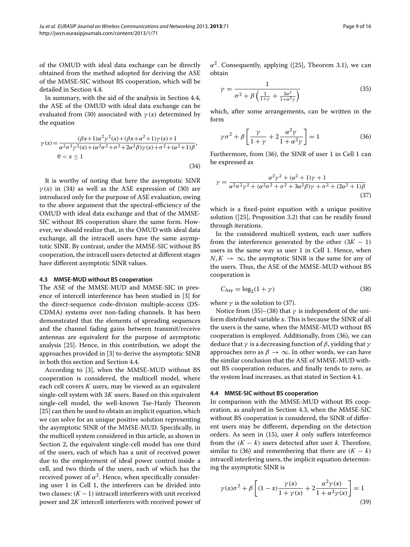of the OMUD with ideal data exchange can be directly obtained from the method adopted for deriving the ASE of the MMSE-SIC without BS cooperation, which will be detailed in Section [4.4.](#page-8-0)

In summary, with the aid of the analysis in Section [4.4,](#page-8-0) the ASE of the OMUD with ideal data exchange can be evaluated from [\(30\)](#page-7-4) associated with  $\gamma(x)$  determined by the equation

<span id="page-8-1"></span>
$$
\gamma(x) = \frac{(\beta x + 1)\alpha^2 \gamma^2(x) + (\beta x + \alpha^2 + 1)\gamma(x) + 1}{\alpha^2 \sigma^2 \gamma^2(x) + (\alpha^2 \sigma^2 + \sigma^2 + 2\alpha^2 \beta)\gamma(x) + \sigma^2 + (\alpha^2 + 1)\beta},
$$
  
0 < x \le 1 (34)

It is worthy of noting that here the asymptotic SINR  $\gamma(x)$  in [\(34\)](#page-8-1) as well as the ASE expression of [\(30\)](#page-7-4) are introduced only for the purpose of ASE evaluation, owing to the above argument that the spectral-efficiency of the OMUD with ideal data exchange and that of the MMSE-SIC without BS cooperation share the same form. However, we should realize that, in the OMUD with ideal data exchange, all the intracell users have the same asymptotic SINR. By contrast, under the MMSE-SIC without BS cooperation, the intracell users detected at different stages have different asymptotic SINR values.

## <span id="page-8-6"></span>**4.3 MMSE-MUD without BS cooperation**

The ASE of the MMSE-MUD and MMSE-SIC in presence of intercell interference has been studied in [\[3\]](#page-14-2) for the direct-sequence code-division multiple-access (DS-CDMA) systems over non-fading channels. It has been demonstrated that the elements of spreading sequences and the channel fading gains between transmit/receive antennas are equivalent for the purpose of asymptotic analysis [\[25\]](#page-15-8). Hence, in this contribution, we adopt the approaches provided in [\[3\]](#page-14-2) to derive the asymptotic SINR in both this section and Section [4.4.](#page-8-0)

According to [\[3\]](#page-14-2), when the MMSE-MUD without BS cooperation is considered, the multicell model, where each cell covers *K* users, may be viewed as an equivalent single-cell system with 3*K* users. Based on this equivalent single-cell model, the well-known Tse-Hanly Theorem [\[25\]](#page-15-8) can then be used to obtain an implicit equation, which we can solve for an unique positive solution representing the asymptotic SINR of the MMSE-MUD. Specifically, in the multicell system considered in this article, as shown in Section [2,](#page-1-0) the equivalent single-cell model has one third of the users, each of which has a unit of received power due to the employment of ideal power control inside a cell, and two thirds of the users, each of which has the received power of  $\alpha^2$ . Hence, when specifically considering user 1 in Cell 1, the interferers can be divided into two classes:  $(K - 1)$  intracell interferers with unit received power and 2*K* intercell interferers with received power of  $\alpha^2$ . Consequently, applying ([\[25\]](#page-15-8), Theorem 3.1), we can obtain

<span id="page-8-4"></span>
$$
\gamma = \frac{1}{\sigma^2 + \beta \left(\frac{1}{1+\gamma} + \frac{2\alpha^2}{1+\alpha^2\gamma}\right)}\tag{35}
$$

which, after some arrangements, can be written in the form

<span id="page-8-2"></span>
$$
\gamma \sigma^2 + \beta \left[ \frac{\gamma}{1 + \gamma} + 2 \frac{\alpha^2 \gamma}{1 + \alpha^2 \gamma} \right] = 1 \tag{36}
$$

Furthermore, from [\(36\)](#page-8-2), the SINR of user 1 in Cell 1 can be expressed as

<span id="page-8-3"></span>
$$
\gamma = \frac{\alpha^2 \gamma^2 + (\alpha^2 + 1)\gamma + 1}{\alpha^2 \sigma^2 \gamma^2 + (\alpha^2 \sigma^2 + \sigma^2 + 3\alpha^2 \beta)\gamma + \sigma^2 + (2\alpha^2 + 1)\beta}
$$
\n(37)

which is a fixed-point equation with a unique positive solution ([\[25\]](#page-15-8), Proposition 3.2) that can be readily found through iterations.

In the considered multicell system, each user suffers from the interference generated by the other  $(3K - 1)$ users in the same way as user 1 in Cell 1. Hence, when  $N, K \rightarrow \infty$ , the asymptotic SINR is the same for any of the users. Thus, the ASE of the MMSE-MUD without BS cooperation is

<span id="page-8-5"></span>
$$
C_{\text{Asy}} = \log_2(1+\gamma) \tag{38}
$$

where  $\gamma$  is the solution to [\(37\)](#page-8-3).

Notice from [\(35\)](#page-8-4)–[\(38\)](#page-8-5) that *γ* is independent of the uniform distributed variable *x*. This is because the SINR of all the users is the same, when the MMSE-MUD without BS cooperation is employed. Additionally, from [\(36\)](#page-8-2), we can deduce that *γ* is a decreasing function of *β*, yielding that *γ* approaches zero as  $\beta \to \infty$ . In other words, we can have the similar conclusion that the ASE of MMSE-MUD without BS cooperation reduces, and finally tends to zero, as the system load increases, as that stated in Section [4.1.](#page-7-0)

#### <span id="page-8-0"></span>**4.4 MMSE-SIC without BS cooperation**

In comparison with the MMSE-MUD without BS cooperation, as analyzed in Section [4.3,](#page-8-6) when the MMSE-SIC without BS cooperation is considered, the SINR of different users may be different, depending on the detection orders. As seen in [\(15\)](#page-5-0), user *k* only suffers interference from the  $(K - k)$  users detected after user *k*. Therefore, similar to [\(36\)](#page-8-2) and remembering that there are  $(K - k)$ intracell interfering users, the implicit equation determining the asymptotic SINR is

<span id="page-8-7"></span>
$$
\gamma(x)\sigma^2 + \beta \left[ (1-x)\frac{\gamma(x)}{1+\gamma(x)} + 2\frac{\alpha^2 \gamma(x)}{1+\alpha^2 \gamma(x)} \right] = 1
$$
\n(39)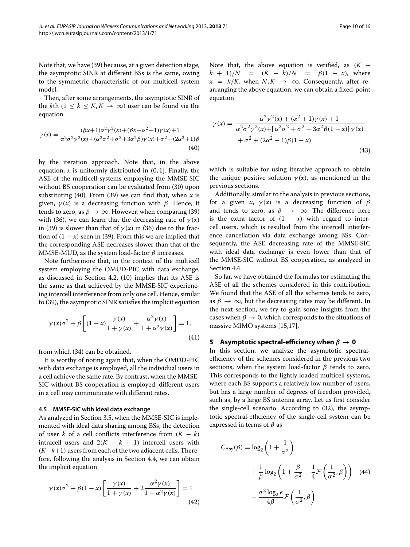Note that, we have [\(39\)](#page-8-7) because, at a given detection stage, the asymptotic SINR at different BSs is the same, owing to the symmetric characteristic of our multicell system model.

<span id="page-9-1"></span>Then, after some arrangements, the asymptotic SINR of the *k*th  $(1 \leq k \leq K, K \to \infty)$  user can be found via the equation

$$
\gamma(x) = \frac{(\beta x + 1)\alpha^2 \gamma^2(x) + (\beta x + \alpha^2 + 1)\gamma(x) + 1}{\alpha^2 \sigma^2 \gamma^2(x) + (\alpha^2 \sigma^2 + \sigma^2 + 3\alpha^2 \beta)\gamma(x) + \sigma^2 + (2\alpha^2 + 1)\beta}
$$
(40)

by the iteration approach. Note that, in the above equation, *x* is uniformly distributed in *(*0, 1]. Finally, the ASE of the multicell systems employing the MMSE-SIC without BS cooperation can be evaluated from [\(30\)](#page-7-4) upon substituting [\(40\)](#page-9-1). From [\(39\)](#page-8-7) we can find that, when  $x$  is given,  $\gamma(x)$  is a decreasing function with  $\beta$ . Hence, it tends to zero, as  $\beta \to \infty$ . However, when comparing [\(39\)](#page-8-7) with [\(36\)](#page-8-2), we can learn that the decreasing rate of  $\gamma(x)$ in [\(39\)](#page-8-7) is slower than that of  $\gamma(x)$  in [\(36\)](#page-8-2) due to the fraction of  $(1 - x)$  seen in [\(39\)](#page-8-7). From this we are implied that the corresponding ASE decreases slower than that of the MMSE-MUD, as the system load-factor *β* increases.

Note furthermore that, in the context of the multicell system employing the OMUD-PIC with data exchange, as discussed in Section [4.2,](#page-7-5) [\(10\)](#page-4-5) implies that its ASE is the same as that achieved by the MMSE-SIC experiencing intercell interference from only one cell. Hence, similar to [\(39\)](#page-8-7), the asymptotic SINR satisfies the implicit equation

$$
\gamma(x)\sigma^2 + \beta \left[ (1-x)\frac{\gamma(x)}{1+\gamma(x)} + \frac{\alpha^2 \gamma(x)}{1+\alpha^2 \gamma(x)} \right] = 1,
$$
\n(41)

from which [\(34\)](#page-8-1) can be obtained.

It is worthy of noting again that, when the OMUD-PIC with data exchange is employed, all the individual users in a cell achieve the same rate. By contrast, when the MMSE-SIC without BS cooperation is employed, different users in a cell may communicate with different rates.

#### <span id="page-9-4"></span>**4.5 MMSE-SIC with ideal data exchange**

As analyzed in Section [3.5,](#page-6-4) when the MMSE-SIC is implemented with ideal data sharing among BSs, the detection of user *k* of a cell conflicts interference from  $(K - k)$ intracell users and  $2(K - k + 1)$  intercell users with *(K*−*k*+1*)* users from each of the two adjacent cells. Therefore, following the analysis in Section [4.4,](#page-8-0) we can obtain the implicit equation

<span id="page-9-3"></span>
$$
\gamma(x)\sigma^2 + \beta(1-x)\left[\frac{\gamma(x)}{1+\gamma(x)} + 2\frac{\alpha^2\gamma(x)}{1+\alpha^2\gamma(x)}\right] = 1
$$
\n(42)

Note that, the above equation is verified, as  $(K (k + 1)/N = (K - k)/N = \beta(1 - x)$ , where  $x = k/K$ , when  $N, K \rightarrow \infty$ . Consequently, after rearranging the above equation, we can obtain a fixed-point equation

$$
\gamma(x) = \frac{\alpha^2 \gamma^2(x) + (\alpha^2 + 1)\gamma(x) + 1}{\alpha^2 \sigma^2 \gamma^2(x) + [\alpha^2 \sigma^2 + \sigma^2 + 3\alpha^2 \beta(1 - x)] \gamma(x)} + \sigma^2 + (2\alpha^2 + 1)\beta(1 - x)
$$
\n(43)

which is suitable for using iterative approach to obtain the unique positive solution  $\gamma(x)$ , as mentioned in the previous sections.

Additionally, similar to the analysis in previous sections, for a given *x*,  $\gamma(x)$  is a decreasing function of  $\beta$ and tends to zero, as  $\beta \rightarrow \infty$ . The difference here is the extra factor of  $(1 - x)$  with regard to intercell users, which is resulted from the intercell interference cancellation via data exchange among BSs. Consequently, the ASE decreasing rate of the MMSE-SIC with ideal data exchange is even lower than that of the MMSE-SIC without BS cooperation, as analyzed in Section [4.4.](#page-8-0)

<span id="page-9-2"></span>So far, we have obtained the formulas for estimating the ASE of all the schemes considered in this contribution. We found that the ASE of all the schemes tends to zero, as  $\beta \to \infty$ , but the decreasing rates may be different. In the next section, we try to gain some insights from the cases when  $\beta \to 0$ , which corresponds to the situations of massive MIMO systems [\[15](#page-14-11)[,17\]](#page-15-0).

## <span id="page-9-0"></span>**5 Asymptotic spectral-efficiency when** *β* **→ 0**

In this section, we analyze the asymptotic spectralefficiency of the schemes considered in the previous two sections, when the system load-factor *β* tends to zero. This corresponds to the lightly loaded multicell systems, where each BS supports a relatively low number of users, but has a large number of degrees of freedom provided, such as, by a large BS antenna array. Let us first consider the single-cell scenario. According to [\(32\)](#page-7-2), the asymptotic spectral-efficiency of the single-cell system can be expressed in terms of *β* as

$$
C_{Asy}(\beta) = \log_2 \left( 1 + \frac{1}{\sigma^2} \right)
$$
  
+  $\frac{1}{\beta} \log_2 \left( 1 + \frac{\beta}{\sigma^2} - \frac{1}{4} \mathcal{F} \left( \frac{1}{\sigma^2}, \beta \right) \right)$  (44)  
-  $\frac{\sigma^2 \log_2 e}{4\beta} \mathcal{F} \left( \frac{1}{\sigma^2}, \beta \right)$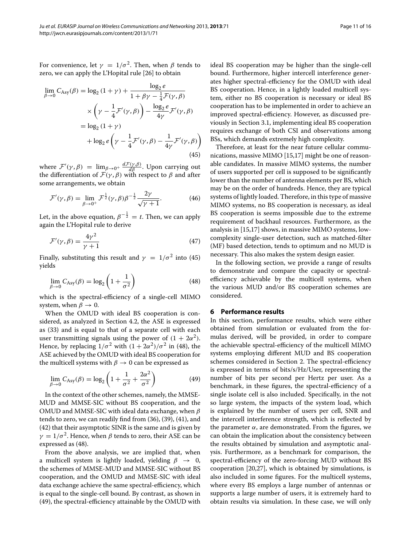For convenience, let  $\gamma = 1/\sigma^2$ . Then, when  $\beta$  tends to zero, we can apply the L'Hopital rule [\[26\]](#page-15-9) to obtain

$$
\lim_{\beta \to 0} C_{\text{Asy}}(\beta) = \log_2 (1 + \gamma) + \frac{\log_2 e}{1 + \beta \gamma - \frac{1}{4} \mathcal{F}(\gamma, \beta)}
$$

$$
\times \left(\gamma - \frac{1}{4} \mathcal{F}'(\gamma, \beta)\right) - \frac{\log_2 e}{4\gamma} \mathcal{F}'(\gamma, \beta)
$$

$$
= \log_2 (1 + \gamma)
$$

$$
+ \log_2 e\left(\gamma - \frac{1}{4} \mathcal{F}'(\gamma, \beta) - \frac{1}{4\gamma} \mathcal{F}'(\gamma, \beta)\right)
$$
(45)

where  $\mathcal{F}'(\gamma, \beta) = \lim_{\beta \to 0^+} \frac{d\mathcal{F}(\gamma, \beta)}{d\beta}$ . Upon carrying out the differentiation of  $\mathcal{F}(\gamma, \beta)$  with respect to *β* and after some arrangements, we obtain

$$
\mathcal{F}'(\gamma,\beta) = \lim_{\beta \to 0^+} \mathcal{F}^{\frac{1}{2}}(\gamma,\beta)\beta^{-\frac{1}{2}} \frac{2\gamma}{\sqrt{\gamma+1}}.
$$
 (46)

Let, in the above equation,  $\beta^{-\frac{1}{2}} = t$ . Then, we can apply again the L'Hopital rule to derive

$$
\mathcal{F}'(\gamma,\beta) = \frac{4\gamma^2}{\gamma+1} \tag{47}
$$

Finally, substituting this result and  $\gamma = 1/\sigma^2$  into [\(45\)](#page-10-1) yields

$$
\lim_{\beta \to 0} C_{\text{Asy}}(\beta) = \log_2 \left( 1 + \frac{1}{\sigma^2} \right) \tag{48}
$$

which is the spectral-efficiency of a single-cell MIMO system, when  $\beta \to 0$ .

When the OMUD with ideal BS cooperation is considered, as analyzed in Section [4.2,](#page-7-5) the ASE is expressed as [\(33\)](#page-7-3) and is equal to that of a separate cell with each user transmitting signals using the power of  $(1 + 2\alpha^2)$ . Hence, by replacing  $1/\sigma^2$  with  $(1 + 2\alpha^2)/\sigma^2$  in [\(48\)](#page-10-2), the ASE achieved by the OMUD with ideal BS cooperation for the multicell systems with  $\beta \to 0$  can be expressed as

$$
\lim_{\beta \to 0} C_{\text{Asy}}(\beta) = \log_2 \left( 1 + \frac{1}{\sigma^2} + \frac{2\alpha^2}{\sigma^2} \right) \tag{49}
$$

In the context of the other schemes, namely, the MMSE-MUD and MMSE-SIC without BS cooperation, and the OMUD and MMSE-SIC with ideal data exchange, when *β* tends to zero, we can readily find from [\(36\)](#page-8-2), [\(39\)](#page-8-7), [\(41\)](#page-9-2), and [\(42\)](#page-9-3) that their asymptotic SINR is the same and is given by  $\gamma = 1/\sigma^2$ . Hence, when *β* tends to zero, their ASE can be expressed as [\(48\)](#page-10-2).

From the above analysis, we are implied that, when a multicell system is lightly loaded, yielding *β* → 0, the schemes of MMSE-MUD and MMSE-SIC without BS cooperation, and the OMUD and MMSE-SIC with ideal data exchange achieve the same spectral-efficiency, which is equal to the single-cell bound. By contrast, as shown in [\(49\)](#page-10-3), the spectral-efficiency attainable by the OMUD with <span id="page-10-1"></span>ideal BS cooperation may be higher than the single-cell bound. Furthermore, higher intercell interference generates higher spectral-efficiency for the OMUD with ideal BS cooperation. Hence, in a lightly loaded multicell system, either no BS cooperation is necessary or ideal BS cooperation has to be implemented in order to achieve an improved spectral-efficiency. However, as discussed previously in Section [3.1,](#page-2-5) implementing ideal BS cooperation requires exchange of both CSI and observations among BSs, which demands extremely high complexity.

Therefore, at least for the near future cellular communications, massive MIMO [\[15](#page-14-11)[,17\]](#page-15-0) might be one of reasonable candidates. In massive MIMO systems, the number of users supported per cell is supposed to be significantly lower than the number of antenna elements per BS, which may be on the order of hundreds. Hence, they are typical systems of lightly loaded. Therefore, in this type of massive MIMO systems, no BS cooperation is necessary, as ideal BS cooperation is seems impossible due to the extreme requirement of backhaul resources. Furthermore, as the analysis in [\[15](#page-14-11)[,17\]](#page-15-0) shows, in massive MIMO systems, lowcomplexity single-user detection, such as matched-filter (MF) based detection, tends to optimum and no MUD is necessary. This also makes the system design easier.

<span id="page-10-2"></span>In the following section, we provide a range of results to demonstrate and compare the capacity or spectralefficiency achievable by the multicell systems, when the various MUD and/or BS cooperation schemes are considered.

## <span id="page-10-0"></span>**6 Performance results**

<span id="page-10-3"></span>In this section, performance results, which were either obtained from simulation or evaluated from the formulas derived, will be provided, in order to compare the achievable spectral-efficiency of the multicell MIMO systems employing different MUD and BS cooperation schemes considered in Section [2.](#page-1-0) The spectral-efficiency is expressed in terms of bits/s/Hz/User, representing the number of bits per second per Hertz per user. As a benchmark, in these figures, the spectral-efficiency of a single isolate cell is also included. Specifically, in the not so large system, the impacts of the system load, which is explained by the number of users per cell, SNR and the intercell interference strength, which is reflected by the parameter  $α$ , are demonstrated. From the figures, we can obtain the implication about the consistency between the results obtained by simulation and asymptotic analysis. Furthermore, as a benchmark for comparison, the spectral-efficiency of the zero-forcing MUD without BS cooperation [\[20](#page-15-3)[,27\]](#page-15-10), which is obtained by simulations, is also included in some figures. For the multicell systems, where every BS employs a large number of antennas or supports a large number of users, it is extremely hard to obtain results via simulation. In these case, we will only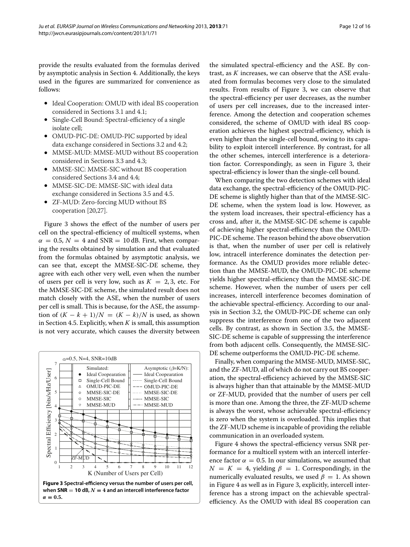provide the results evaluated from the formulas derived by asymptotic analysis in Section [4.](#page-6-0) Additionally, the keys used in the figures are summarized for convenience as follows:

- Ideal Cooperation: OMUD with ideal BS cooperation considered in Sections [3.1](#page-2-5) and [4.1;](#page-7-0)
- Single-Cell Bound: Spectral-efficiency of a single isolate cell;
- OMUD-PIC-DE: OMUD-PIC supported by ideal data exchange considered in Sections [3.2](#page-3-3) and [4.2;](#page-7-5)
- MMSE-MUD: MMSE-MUD without BS cooperation considered in Sections [3.3](#page-4-1) and [4.3;](#page-8-6)
- MMSE-SIC: MMSE-SIC without BS cooperation considered Sections [3.4](#page-4-0) and [4.4;](#page-8-0)
- MMSE-SIC-DE: MMSE-SIC with ideal data exchange considered in Sections [3.5](#page-6-4) and [4.5.](#page-9-4)
- ZF-MUD: Zero-forcing MUD without BS cooperation [\[20](#page-15-3)[,27\]](#page-15-10).

Figure [3](#page-11-0) shows the effect of the number of users per cell on the spectral-efficiency of multicell systems, when  $\alpha = 0.5$ ,  $N = 4$  and SNR = 10 dB. First, when comparing the results obtained by simulation and that evaluated from the formulas obtained by asymptotic analysis, we can see that, except the MMSE-SIC-DE scheme, they agree with each other very well, even when the number of users per cell is very low, such as  $K = 2, 3$ , etc. For the MMSE-SIC-DE scheme, the simulated result does not match closely with the ASE, when the number of users per cell is small. This is because, for the ASE, the assumption of  $(K - k + 1)/N = (K - k)/N$  is used, as shown in Section [4.5.](#page-9-4) Explicitly, when *K* is small, this assumption is not very accurate, which causes the diversity between

<span id="page-11-0"></span>

the simulated spectral-efficiency and the ASE. By contrast, as *K* increases, we can observe that the ASE evaluated from formulas becomes very close to the simulated results. From results of Figure [3,](#page-11-0) we can observe that the spectral-efficiency per user decreases, as the number of users per cell increases, due to the increased interference. Among the detection and cooperation schemes considered, the scheme of OMUD with ideal BS cooperation achieves the highest spectral-efficiency, which is even higher than the single-cell bound, owing to its capability to exploit intercell interference. By contrast, for all the other schemes, intercell interference is a deterioration factor. Correspondingly, as seen in Figure [3,](#page-11-0) their spectral-efficiency is lower than the single-cell bound.

When comparing the two detection schemes with ideal data exchange, the spectral-efficiency of the OMUD-PIC-DE scheme is slightly higher than that of the MMSE-SIC-DE scheme, when the system load is low. However, as the system load increases, their spectral-efficiency has a cross and, after it, the MMSE-SIC-DE scheme is capable of achieving higher spectral-efficiency than the OMUD-PIC-DE scheme. The reason behind the above observation is that, when the number of user per cell is relatively low, intracell interference dominates the detection performance. As the OMUD provides more reliable detection than the MMSE-MUD, the OMUD-PIC-DE scheme yields higher spectral-efficiency than the MMSE-SIC-DE scheme. However, when the number of users per cell increases, intercell interference becomes domination of the achievable spectral-efficiency. According to our analysis in Section [3.2,](#page-3-3) the OMUD-PIC-DE scheme can only suppress the interference from one of the two adjacent cells. By contrast, as shown in Section [3.5,](#page-6-4) the MMSE-SIC-DE scheme is capable of suppressing the interference from both adjacent cells. Consequently, the MMSE-SIC-DE scheme outperforms the OMUD-PIC-DE scheme.

Finally, when comparing the MMSE-MUD, MMSE-SIC, and the ZF-MUD, all of which do not carry out BS cooperation, the spectral-efficiency achieved by the MMSE-SIC is always higher than that attainable by the MMSE-MUD or ZF-MUD, provided that the number of users per cell is more than one. Among the three, the ZF-MUD scheme is always the worst, whose achievable spectral-efficiency is zero when the system is overloaded. This implies that the ZF-MUD scheme is incapable of providing the reliable communication in an overloaded system.

Figure [4](#page-12-0) shows the spectral-efficiency versus SNR performance for a multicell system with an intercell interference factor  $\alpha = 0.5$ . In our simulations, we assumed that  $N = K = 4$ , yielding  $\beta = 1$ . Correspondingly, in the numerically evaluated results, we used  $\beta = 1$ . As shown in Figure [4](#page-12-0) as well as in Figure [3,](#page-11-0) explicitly, intercell interference has a strong impact on the achievable spectralefficiency. As the OMUD with ideal BS cooperation can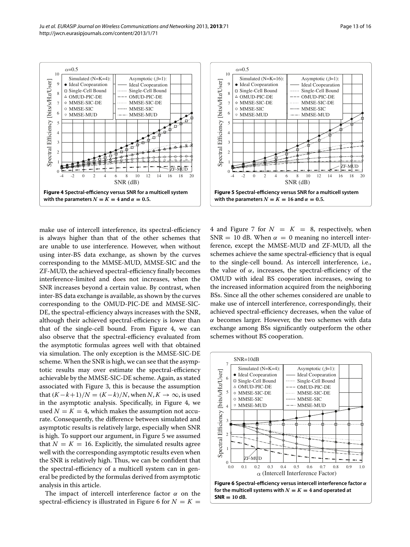<span id="page-12-0"></span>make use of intercell interference, its spectral-efficiency is always higher than that of the other schemes that are unable to use interference. However, when without using inter-BS data exchange, as shown by the curves corresponding to the MMSE-MUD, MMSE-SIC and the ZF-MUD, the achieved spectral-efficiency finally becomes interference-limited and does not increases, when the SNR increases beyond a certain value. By contrast, when inter-BS data exchange is available, as shown by the curves corresponding to the OMUD-PIC-DE and MMSE-SIC-DE, the spectral-efficiency always increases with the SNR, although their achieved spectral-efficiency is lower than that of the single-cell bound. From Figure [4,](#page-12-0) we can also observe that the spectral-efficiency evaluated from the asymptotic formulas agrees well with that obtained via simulation. The only exception is the MMSE-SIC-DE scheme. When the SNR is high, we can see that the asymptotic results may over estimate the spectral-efficiency achievable by the MMSE-SIC-DE scheme. Again, as stated associated with Figure [3,](#page-11-0) this is because the assumption that  $(K-k+1)/N = (K-k)/N$ , when  $N, K \to \infty$ , is used in the asymptotic analysis. Specifically, in Figure [4,](#page-12-0) we used  $N = K = 4$ , which makes the assumption not accurate. Consequently, the difference between simulated and asymptotic results is relatively large, especially when SNR is high. To support our argument, in Figure [5](#page-12-1) we assumed that  $N = K = 16$ . Explicitly, the simulated results agree well with the corresponding asymptotic results even when the SNR is relatively high. Thus, we can be confident that the spectral-efficiency of a multicell system can in general be predicted by the formulas derived from asymptotic analysis in this article.

The impact of intercell interference factor *α* on the spectral-efficiency is illustrated in Figure [6](#page-12-2) for  $N = K =$ 

4 and Figure [7](#page-13-0) for  $N = K = 8$ , respectively, when SNR = 10 dB. When  $\alpha = 0$  meaning no intercell interference, except the MMSE-MUD and ZF-MUD, all the schemes achieve the same spectral-efficiency that is equal to the single-cell bound. As intercell interference, i.e., the value of  $\alpha$ , increases, the spectral-efficiency of the OMUD with ideal BS cooperation increases, owing to the increased information acquired from the neighboring BSs. Since all the other schemes considered are unable to make use of intercell interference, correspondingly, their achieved spectral-efficiency decreases, when the value of *α* becomes larger. However, the two schemes with data exchange among BSs significantly outperform the other schemes without BS cooperation.

<span id="page-12-1"></span>-4 -2 0 2 4 6 8 10 12 14 16 18 20 SNR (dB)

. . . . . .

**Figure 5 Spectral-efficiency versus SNR for a multicell system**

**with the parameters**  $N = K = 16$  and  $\alpha = 0.5$ .

Asymptotic  $(\beta=1)$ : Ideal Coopearation Single-Cell Bound OMUD-PIC-DE MMSE-SIC-DE MMSE-SIC MMSE-MUD

 $\alpha$ =0.5

 $\circ$ 

Simulated (N=K=16): • Ideal Coopearation □ Single-Cell Bound  $\Delta$  OMUD-PIC-DE  $\diamond$  MMSE-SIC-DE  $\circ$  MMSE-SIC MMSE-MUD

Spectral Efficiency [bits/s/Hz/User]

Spectral Efficiency

[bits/s/Hz/User]

<span id="page-12-2"></span>



 $\overline{D}$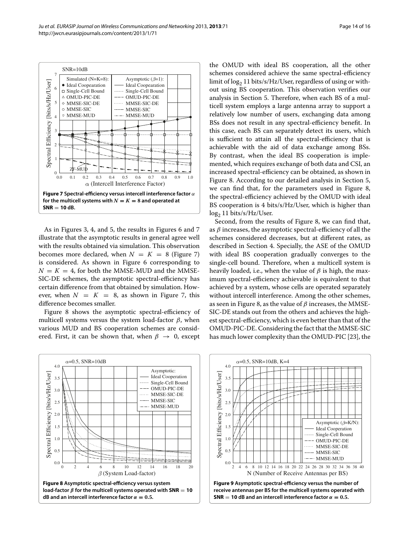

<span id="page-13-0"></span>As in Figures [3,](#page-11-0) [4,](#page-12-0) and [5,](#page-12-1) the results in Figures [6](#page-12-2) and [7](#page-13-0) illustrate that the asymptotic results in general agree well with the results obtained via simulation. This observation becomes more declared, when  $N = K = 8$  (Figure [7\)](#page-13-0) is considered. As shown in Figure [6](#page-12-2) corresponding to  $N = K = 4$ , for both the MMSE-MUD and the MMSE-SIC-DE schemes, the asymptotic spectral-efficiency has certain difference from that obtained by simulation. However, when  $N = K = 8$ , as shown in Figure [7,](#page-13-0) this difference becomes smaller.

Figure [8](#page-13-1) shows the asymptotic spectral-efficiency of multicell systems versus the system load-factor *β*, when various MUD and BS cooperation schemes are considered. First, it can be shown that, when  $\beta \rightarrow 0$ , except the OMUD with ideal BS cooperation, all the other schemes considered achieve the same spectral-efficiency limit of  $log_2 11$  bits/s/Hz/User, regardless of using or without using BS cooperation. This observation verifies our analysis in Section [5.](#page-9-0) Therefore, when each BS of a multicell system employs a large antenna array to support a relatively low number of users, exchanging data among BSs does not result in any spectral-efficiency benefit. In this case, each BS can separately detect its users, which is sufficient to attain all the spectral-efficiency that is achievable with the aid of data exchange among BSs. By contrast, when the ideal BS cooperation is implemented, which requires exchange of both data and CSI, an increased spectral-efficiency can be obtained, as shown in Figure [8.](#page-13-1) According to our detailed analysis in Section [5,](#page-9-0) we can find that, for the parameters used in Figure [8,](#page-13-1) the spectral-efficiency achieved by the OMUD with ideal BS cooperation is 4 bits/s/Hz/User, which is higher than  $log<sub>2</sub> 11 bits/s/Hz/User.$ 

Second, from the results of Figure [8,](#page-13-1) we can find that, as *β* increases, the asymptotic spectral-efficiency of all the schemes considered decreases, but at different rates, as described in Section [4.](#page-6-0) Specially, the ASE of the OMUD with ideal BS cooperation gradually converges to the single-cell bound. Therefore, when a multicell system is heavily loaded, i.e., when the value of *β* is high, the maximum spectral-efficiency achievable is equivalent to that achieved by a system, whose cells are operated separately without intercell interference. Among the other schemes, as seen in Figure [8,](#page-13-1) as the value of *β* increases, the MMSE-SIC-DE stands out from the others and achieves the highest spectral-efficiency, which is even better than that of the OMUD-PIC-DE. Considering the fact that the MMSE-SIC has much lower complexity than the OMUD-PIC [\[23\]](#page-15-6), the

<span id="page-13-1"></span>

<span id="page-13-2"></span>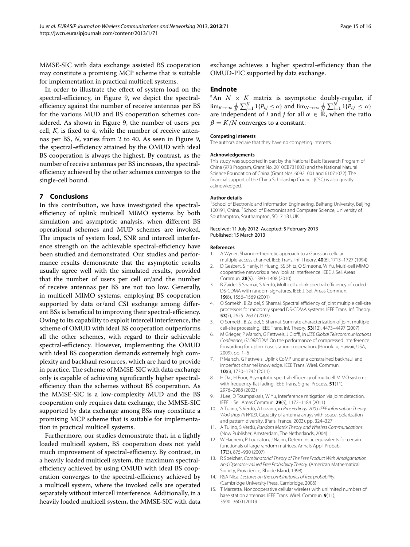MMSE-SIC with data exchange assisted BS cooperation may constitute a promising MCP scheme that is suitable for implementation in practical multicell systems.

In order to illustrate the effect of system load on the spectral-efficiency, in Figure [9,](#page-13-2) we depict the spectralefficiency against the number of receive antennas per BS for the various MUD and BS cooperation schemes considered. As shown in Figure [9,](#page-13-2) the number of users per cell, *K*, is fixed to 4, while the number of receive antennas per BS, *N*, varies from 2 to 40. As seen in Figure [9,](#page-13-2) the spectral-efficiency attained by the OMUD with ideal BS cooperation is always the highest. By contrast, as the number of receive antennas per BS increases, the spectralefficiency achieved by the other schemes converges to the single-cell bound.

## <span id="page-14-12"></span>**7 Conclusions**

In this contribution, we have investigated the spectralefficiency of uplink multicell MIMO systems by both simulation and asymptotic analysis, when different BS operational schemes and MUD schemes are invoked. The impacts of system load, SNR and intercell interference strength on the achievable spectral-efficiency have been studied and demonstrated. Our studies and performance results demonstrate that the asymptotic results usually agree well with the simulated results, provided that the number of users per cell or/and the number of receive antennas per BS are not too low. Generally, in multicell MIMO systems, employing BS cooperation supported by data or/and CSI exchange among different BSs is beneficial to improving their spectral-efficiency. Owing to its capability to exploit intercell interference, the scheme of OMUD with ideal BS cooperation outperforms all the other schemes, with regard to their achievable spectral-efficiency. However, implementing the OMUD with ideal BS cooperation demands extremely high complexity and backhaul resources, which are hard to provide in practice. The scheme of MMSE-SIC with data exchange only is capable of achieving significantly higher spectralefficiency than the schemes without BS cooperation. As the MMSE-SIC is a low-complexity MUD and the BS cooperation only requires data exchange, the MMSE-SIC supported by data exchange among BSs may constitute a promising MCP scheme that is suitable for implementation in practical multicell systems.

Furthermore, our studies demonstrate that, in a lightly loaded multicell system, BS cooperation does not yield much improvement of spectral-efficiency. By contrast, in a heavily loaded multicell system, the maximum spectralefficiency achieved by using OMUD with ideal BS cooperation converges to the spectral-efficiency achieved by a multicell system, where the invoked cells are operated separately without intercell interference. Additionally, in a heavily loaded multicell system, the MMSE-SIC with data

exchange achieves a higher spectral-efficiency than the OMUD-PIC supported by data exchange.

## **Endnote**

<sup>a</sup>An  $N \times K$  matrix is asymptotic doubly-regular, if  $\lim_{K \to \infty} \frac{1}{K} \sum_{j=1}^{K} 1\{P_{ij} \le \alpha\}$  and  $\lim_{N \to \infty} \frac{1}{N} \sum_{i=1}^{N} 1\{P_{ij} \le \alpha\}$ are independent of *i* and *j* for all  $\alpha \in \mathbb{R}$ , when the ratio  $\beta = K/N$  converges to a constant.

#### **Competing interests**

The authors declare that they have no competing interests.

## **Acknowledgements**

This study was supported in part by the National Basic Research Program of China (973 Program, Grant No. 2010CB731803) and the National Natural Science Foundation of China (Grant Nos. 60921001 and 61071072). The financial support of the China Scholarship Council (CSC) is also greatly acknowledged.

#### **Author details**

<sup>1</sup> School of Electronic and Information Engineering, Beihang University, Beijing 100191, China. 2School of Electronics and Computer Science, University of Southampton, Southampton, SO17 1BJ, UK.

#### Received: 11 July 2012 Accepted: 5 February 2013 Published: 15 March 2013

#### **References**

- <span id="page-14-0"></span>1. A Wyner, Shannon-theoretic approach to a Gaussian cellular
- <span id="page-14-1"></span>multiple-access channel. IEEE Trans. Inf. Theory. **40**(6), 1713–1727 (1994) 2. D Gesbert, S Hanly, H Huang, SS Shitz, O Simeone, W Yu, Multi-cell MIMO cooperative networks: a new look at interference. IEEE J. Sel. Areas Commun. **28**(9), 1380–1408 (2010)
- <span id="page-14-2"></span>3. B Zaidel, S Shamai, S Verdú, Multicell uplink spectral efficiency of coded DS-CDMA with random signatures. IEEE J. Sel. Areas Commun. **19**(8), 1556–1569 (2001)
- <span id="page-14-3"></span>4. O Somekh, B Zaidel, S Shamai, Spectral efficiency of joint multiple cell-site processors for randomly spread DS-CDMA systems. IEEE Trans. Inf. Theory. **53**(7), 2625–2637 (2007)
- <span id="page-14-4"></span>5. O Somekh, B Zaidel, S Shamai, Sum rate characterization of joint multiple cell-site processing. IEEE Trans. Inf. Theory. **53**(12), 4473–4497 (2007)
- <span id="page-14-5"></span>6. M Grieger, P Marsch, G Fettweis, J Cioffi, in IEEE Global Telecommunications Conference, GLOBECOM. On the performance of compressed interference forwarding for uplink base station cooperation, (Honolulu, Hawaii, USA, 2009), pp. 1–6
- <span id="page-14-6"></span>7. P Marsch, G Fettweis, Uplink CoMP under a constrained backhaul and imperfect channel knowledge. IEEE Trans. Wirel. Commun. **10**(6), 1730–1742 (2011)
- <span id="page-14-7"></span>8. H Dai, H Poor, Asymptotic spectral efficiency of multicell MIMO systems with frequency-flat fading. IEEE Trans. Signal Process. **51**(11), 2976–2988 (2003)
- <span id="page-14-8"></span>9. J Lee, D Toumpakaris, W Yu, Interference mitigation via joint detection. IEEE J. Sel. Areas Commun. **29**(6), 1172–1184 (2011)
- <span id="page-14-9"></span>10. A Tulino, S Verdú, A Lozano, in Proceedings. 2003 IEEE Information Theory Workshop (ITW'03). Capacity of antenna arrays with space, polarization and pattern diversity, (Paris, France, 2003), pp. 324–327
- <span id="page-14-13"></span>11. A Tulino, S Verdú, Random Matrix Theory and Wireless Communications. (Now Publisher, Amsterdam, The Netherlands, 2004)
- 12. W Hachem, P Loubaton, J Najim, Determinstic equivalents for certain functionals of large random matrices. Annals Appl. Probab. **17**(3), 875–930 (2007)
- 13. R Speicher, Combinatorial Theory of The Free Product With Amalgamation And Operator-valued Free Probability Theory. (American Mathematical Society, Providence, Rhode Island, 1998)
- <span id="page-14-10"></span>14. RSA Nica, Lectures on the combinatorics of free probability. (Cambridge University Press, Cambridge, 2006)
- <span id="page-14-11"></span>15. T Marzetta, Noncooperative cellular wireless with unlimited numbers of base station antennas. IEEE Trans. Wirel. Commun. **9**(11), 3590–3600 (2010)